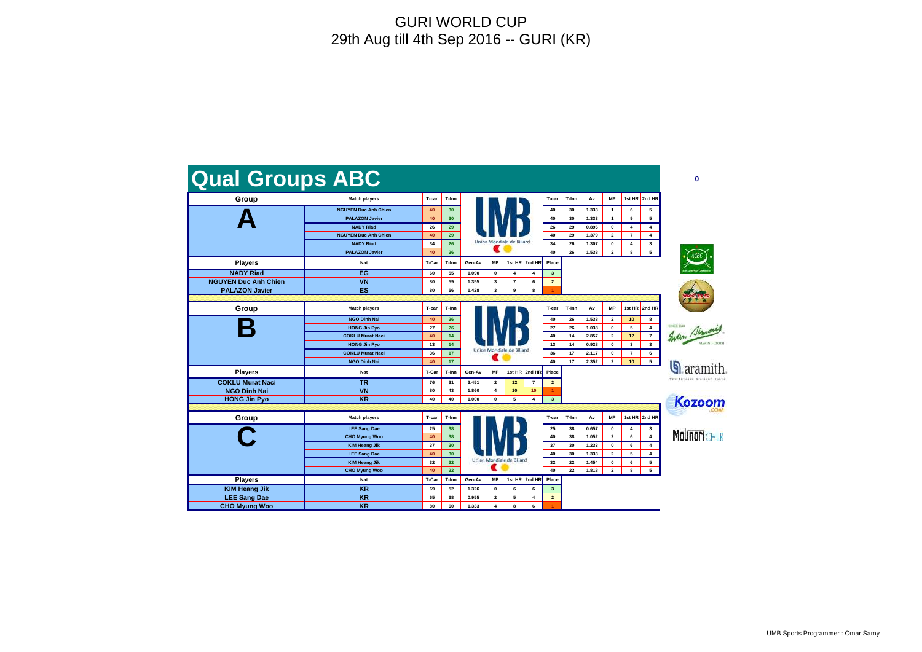





<mark>n</mark> aramith.



Molinari Chlk

| Group                       | <b>Match players</b>        | T-car | T-Inn           |                           |              |                           |                 | T-car                   | T-Inn        | Av             | <b>MP</b>      | 1st HR 2nd HR           |        |
|-----------------------------|-----------------------------|-------|-----------------|---------------------------|--------------|---------------------------|-----------------|-------------------------|--------------|----------------|----------------|-------------------------|--------|
|                             | <b>NGUYEN Duc Anh Chien</b> | 40    | 30 <sub>o</sub> |                           |              |                           |                 | 40                      | 30           | 1.333          | $\overline{1}$ | 6                       | 5      |
|                             | <b>PALAZON Javier</b>       | 40    | 30 <sub>o</sub> |                           |              |                           |                 | 40                      | 30           | 1.333          | $\mathbf{1}$   | 9                       | 5      |
|                             | <b>NADY Riad</b>            | 26    | 29              |                           |              |                           |                 | 26                      | 29           | 0.896          | 0              | 4                       | 4      |
|                             | <b>NGUYEN Duc Anh Chien</b> | 40    | 29              |                           |              |                           |                 | 40                      | 29           | 1.379          | $\mathbf{2}$   | $\overline{7}$          | 4      |
|                             | <b>NADY Riad</b>            | 34    | 26              |                           |              | Union Mondiale de Billard |                 | 34                      | 26           | 1.307          | $\mathbf 0$    | $\overline{4}$          | 3      |
|                             | <b>PALAZON Javier</b>       | 40    | 26              |                           |              |                           |                 | 40                      | 26           | 1.538          | $\overline{2}$ | 8                       | 5      |
| <b>Players</b>              | <b>Nat</b>                  | T-Car | T-Inn           | Gen-Av                    | МP           | 1st HR                    | 2nd HR          | Place                   |              |                |                |                         |        |
| <b>NADY Riad</b>            | EG                          | 60    | 55              | 1.090                     | 0            | 4                         | 4               | $\mathbf{3}$            |              |                |                |                         |        |
| <b>NGUYEN Duc Anh Chien</b> | <b>VN</b>                   | 80    | 59              | 1.355                     | 3            | $\overline{7}$            | 6               | $\overline{2}$          |              |                |                |                         |        |
| <b>PALAZON Javier</b>       | <b>ES</b>                   | 80    | 56              | 1.428                     | 3            | 9                         | 8               |                         |              |                |                |                         |        |
|                             |                             |       |                 |                           |              |                           |                 |                         |              |                |                |                         |        |
| Group                       | <b>Match players</b>        | T-car | T-Inn           |                           |              |                           |                 | T-car                   | T-Inn        | Av             | <b>MP</b>      | 1st HR                  | 2nd HR |
|                             | <b>NGO Dinh Nai</b>         | 40    | 26              |                           |              |                           |                 | 40                      | 26           | 1.538          | $\mathbf{2}$   | 10                      | 8      |
|                             | <b>HONG Jin Pyo</b>         | 27    | 26              |                           |              |                           | 27              | 26                      | 1.038        | $\mathbf 0$    | 5              | $\overline{\mathbf{4}}$ |        |
|                             | <b>COKLU Murat Naci</b>     | 40    | 14              |                           |              |                           | 40              | 14                      | 2.857        | $\overline{2}$ | 12             | $\overline{\mathbf{r}}$ |        |
|                             | <b>HONG Jin Pyo</b>         | 13    | 14              |                           |              | 13                        | 14              | 0.928                   | $\mathbf{0}$ | $\mathbf{3}$   | 3              |                         |        |
|                             | <b>COKLU Murat Naci</b>     | 36    | 17              | Union Mondiale de Billard |              |                           |                 | 36                      | 17           | 2.117          | 0              | $\overline{7}$          | 6      |
|                             | <b>NGO Dinh Nai</b>         | 40    | 17              |                           |              |                           |                 | 40                      | 17           | 2.352          | $\overline{2}$ | 10                      | 5      |
| <b>Players</b>              | <b>Nat</b>                  | T-Car | T-Inn           | Gen-Av                    | <b>MP</b>    |                           | 1st HR 2nd HR   | Place                   |              |                |                |                         |        |
| <b>COKLU Murat Naci</b>     | <b>TR</b>                   | 76    | 31              | 2.451                     | $\mathbf{2}$ | 12                        | 7               | $\overline{2}$          |              |                |                |                         |        |
| <b>NGO Dinh Nai</b>         | <b>VN</b>                   | 80    | 43              | 1.860                     | 4            | 10                        | 10 <sub>1</sub> |                         |              |                |                |                         |        |
| <b>HONG Jin Pyo</b>         | <b>KR</b>                   | 40    | 40              | 1.000                     | 0            | 5                         | 4               | $\overline{\mathbf{3}}$ |              |                |                |                         |        |
|                             |                             |       |                 |                           |              |                           |                 |                         |              |                |                |                         |        |
| Group                       | <b>Match players</b>        | T-car | T-Inn           |                           |              |                           |                 | T-car                   | T-Inn        | Av             | <b>MP</b>      | 1st HR                  | 2nd HR |
|                             | <b>LEE Sang Dae</b>         | 25    | 38              |                           |              |                           |                 | 25                      | 38           | 0.657          | 0              | 4                       | 3      |
|                             | <b>CHO Myung Woo</b>        | 40    | 38              |                           |              |                           |                 | 40                      | 38           | 1.052          | $\overline{2}$ | 6                       | 4      |
|                             | <b>KIM Heang Jik</b>        | 37    | 30              |                           |              |                           |                 | 37                      | 30           | 1.233          | 0              | 6                       | 4      |
|                             | <b>LEE Sang Dae</b>         | 40    | 30 <sub>o</sub> |                           |              |                           |                 | 40                      | 30           | 1.333          | $\mathbf{2}$   | 5                       | 4      |
|                             | <b>KIM Heang Jik</b>        | 32    | 22              | Union Mondiale de Billard |              |                           |                 | 32                      | 22           | 1.454          | 0              | 6                       | 5      |
|                             | <b>CHO Myung Woo</b>        | 40    | 22              |                           |              |                           |                 | 40                      | 22           | 1.818          | $\overline{2}$ | 8                       | 5      |
| <b>Players</b>              | Nat                         | T-Car | T-Inn           | Gen-Av                    | MР           |                           | 1st HR 2nd HR   | Place                   |              |                |                |                         |        |
| <b>KIM Heang Jik</b>        | <b>KR</b>                   | 69    | 52              | 1.326                     | 0            | 6                         | 6               | $\mathbf{3}$            |              |                |                |                         |        |
| <b>LEE Sang Dae</b>         | <b>KR</b>                   | 65    | 68              | 0.955                     | $\mathbf{2}$ | 5                         | 4               | $\overline{2}$          |              |                |                |                         |        |
|                             |                             |       |                 |                           |              |                           |                 |                         |              |                |                |                         |        |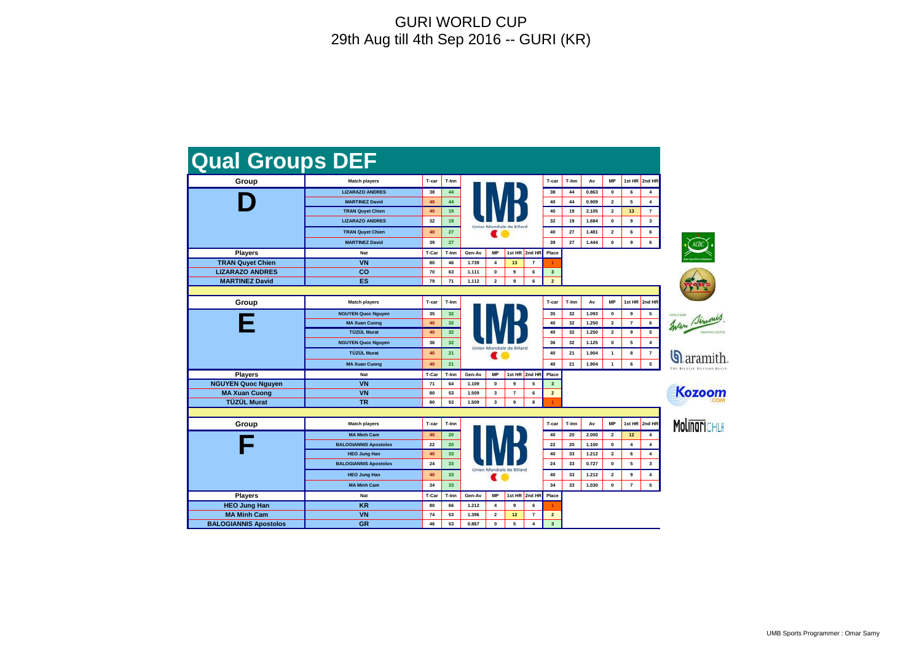| <b>Qual Groups DEF</b>       |                              |       |                 |                                  |                |                |                |                |       |       |              |                |                         |
|------------------------------|------------------------------|-------|-----------------|----------------------------------|----------------|----------------|----------------|----------------|-------|-------|--------------|----------------|-------------------------|
| Group                        | <b>Match players</b>         | T-car | T-Inn           |                                  |                |                |                | T-car          | T-Inn | Av    | <b>MP</b>    | 1st HR         | 2nd HR                  |
|                              | <b>LIZARAZO ANDRES</b>       | 38    | 44              |                                  |                |                |                | 38             | 44    | 0.863 | 0            | 6              | 4                       |
|                              | <b>MARTINEZ David</b>        | 40    | 44              |                                  |                |                |                | 40             | 44    | 0.909 | $\mathbf{2}$ | 5              | $\overline{\mathbf{4}}$ |
|                              | <b>TRAN Quyet Chien</b>      | 40    | 19              |                                  |                |                |                | 40             | 19    | 2.105 | $\mathbf{2}$ | 13             | $\overline{7}$          |
|                              | <b>LIZARAZO ANDRES</b>       | 32    | 19              | Union Mondiale de Billard        |                |                |                |                | 19    | 1.684 | 0            | 9              | $\mathbf{3}$            |
|                              | <b>TRAN Quyet Chien</b>      | 40    | 27              |                                  |                |                |                |                | 27    | 1.481 | $\mathbf{2}$ | 6              | 6                       |
|                              | <b>MARTINEZ David</b>        | 39    | 27              |                                  | 39             | 27             | 1.444          | 0              | 9     | 6     |              |                |                         |
| <b>Players</b>               | Nat                          | T-Car | T-Inn           | 1st HR<br>2nd HR<br>MP<br>Gen-Av |                |                |                | Place          |       |       |              |                |                         |
| <b>TRAN Quyet Chien</b>      | <b>VN</b>                    | 80    | 46              | 1.739                            | 4              | 13             | $\overline{7}$ |                |       |       |              |                |                         |
| <b>LIZARAZO ANDRES</b>       | CO                           | 70    | 63              | 1.111                            | $\pmb{0}$      | 9              | 6              | $\mathbf{3}$   |       |       |              |                |                         |
| <b>MARTINEZ David</b>        | <b>ES</b>                    | 79    | 71              | 1.112                            | $\mathbf{2}$   | 9              | 6              | $\overline{2}$ |       |       |              |                |                         |
|                              |                              |       |                 |                                  |                |                |                |                |       |       |              |                |                         |
| Group                        | <b>Match players</b>         | T-car | T-Inn           |                                  |                |                |                | T-car          | T-Inn | Av    | <b>MP</b>    | 1st HR         | 2nd HR                  |
|                              | <b>NGUYEN Quoc Nguyen</b>    | 35    | 32 <sub>2</sub> |                                  |                |                |                | 35             | 32    | 1.093 | $\mathbf 0$  | 9              | 5                       |
|                              | <b>MA Xuan Cuong</b>         | 40    | 32              |                                  |                |                |                | 40             | 32    | 1.250 | $\mathbf{2}$ | $\overline{7}$ | 6                       |
|                              | TÜZÜL Murat                  | 40    | 32 <sub>2</sub> |                                  |                |                |                | 40             | 32    | 1.250 | $\mathbf{2}$ | 9              | 5                       |
|                              | <b>NGUYEN Quoc Nguyen</b>    | 36    | 32 <sub>2</sub> | Union Mondiale de Billard<br>ш   |                |                |                | 36             | 32    | 1.125 | $\mathbf 0$  | 5              | 4                       |
|                              | <b>TÜZÜL Murat</b>           | 40    | 21              |                                  |                |                |                | 40             | 21    | 1.904 | $\mathbf{1}$ | 8              | $\overline{7}$          |
|                              | <b>MA Xuan Cuong</b>         | 40    | 21              |                                  |                |                |                | 40             | 21    | 1.904 | $\mathbf{1}$ | 6              | 5                       |
| <b>Players</b>               | Nat                          | T-Car | T-Inn           | Gen-Av                           | <b>MP</b>      |                | 1st HR 2nd HR  | Place          |       |       |              |                |                         |
| <b>NGUYEN Quoc Nguyen</b>    | <b>VN</b>                    | 71    | 64              | 1.109                            | 0              | 9              | 5              | $\mathbf{3}$   |       |       |              |                |                         |
| <b>MA Xuan Cuong</b>         | <b>VN</b>                    | 80    | 53              | 1.509                            | 3              | $\overline{7}$ | 6              | $\overline{a}$ |       |       |              |                |                         |
| <b>TÜZÜL Murat</b>           | <b>TR</b>                    | 80    | 53              | 1.509                            | 3              | 9              | 8              |                |       |       |              |                |                         |
|                              |                              |       |                 |                                  |                |                |                |                |       |       |              |                |                         |
| Group                        | <b>Match players</b>         | T-car | T-Inn           |                                  |                |                |                | T-car          | T-Inn | Av    | <b>MP</b>    | 1st HR         | 2nd HR                  |
|                              | <b>MA Minh Cam</b>           | 40    | 20              |                                  |                |                |                | 40             | 20    | 2.000 | $\mathbf{2}$ | 12             | 4                       |
|                              | <b>BALOGIANNIS Apostolos</b> | 22    | 20              |                                  |                |                |                | 22             | 20    | 1.100 | 0            | 4              | 4                       |
|                              | <b>HEO Jung Han</b>          | 40    | 33              |                                  |                |                |                | 40             | 33    | 1.212 | $\mathbf{2}$ | 6              | 4                       |
|                              | <b>BALOGIANNIS Apostolos</b> | 24    | 33              |                                  |                |                |                | 24             | 33    | 0.727 | $\mathbf 0$  | 5              | 3                       |
|                              | <b>HEO Jung Han</b>          | 40    | 33              | Union Mondiale de Billard        |                |                |                | 40             | 33    | 1.212 | $\mathbf{2}$ | 9              | 4                       |
|                              | <b>MA Minh Cam</b>           | 34    | 33              |                                  |                |                |                | 34             | 33    | 1.030 | 0            | $\overline{7}$ | 5                       |
| <b>Players</b>               | Nat                          | T-Car | T-Inn           | Gen-Av                           | <b>MP</b>      | 1st HR         | 2nd HR         | Place          |       |       |              |                |                         |
| <b>HEO Jung Han</b>          | <b>KR</b>                    | 80    | 66              | 1.212                            | 4              | 9              | 6              |                |       |       |              |                |                         |
| <b>MA Minh Cam</b>           | <b>VN</b>                    | 74    | 53              | 1.396                            | $\overline{2}$ | 12             | $\overline{7}$ | $\overline{2}$ |       |       |              |                |                         |
| <b>BALOGIANNIS Apostolos</b> | <b>GR</b>                    | 46    | 53              | 0.867                            | $\mathbf{0}$   | 5              | 4              | $\mathbf{3}$   |       |       |              |                |                         |





 $\mathbf{Q}$  aramith.



**Molinari**chlk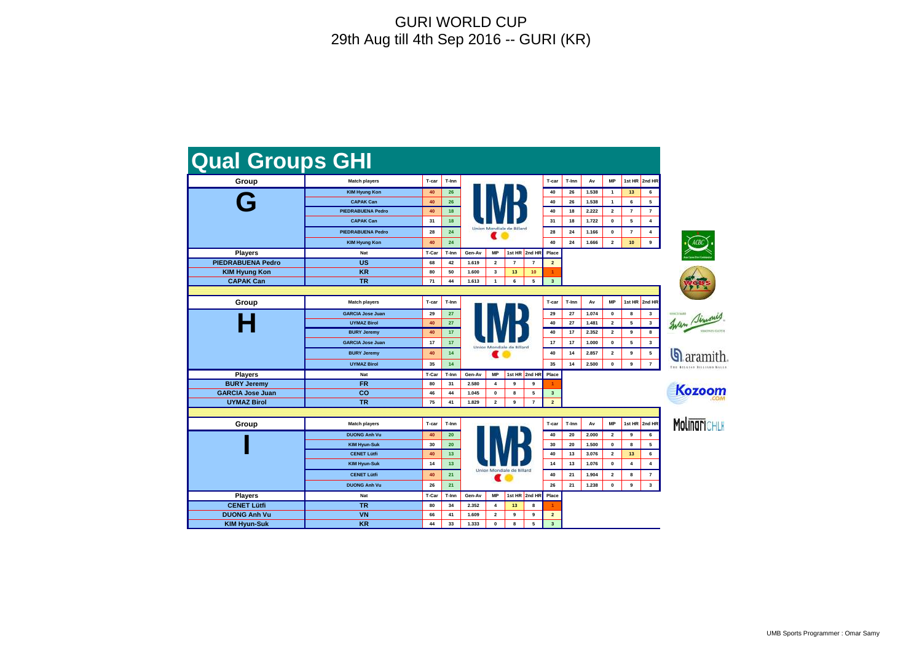| <b>Qual Groups GHI</b>   |                          |       |       |                           |                |                |                          |                         |       |                |                |                  |                         |
|--------------------------|--------------------------|-------|-------|---------------------------|----------------|----------------|--------------------------|-------------------------|-------|----------------|----------------|------------------|-------------------------|
| Group                    | <b>Match players</b>     | T-car | T-Inn |                           |                |                |                          | T-car                   | T-Inn | Av             | <b>MP</b>      | 1st HR           | 2nd HR                  |
|                          | <b>KIM Hyung Kon</b>     | 40    | 26    |                           |                |                |                          | 40                      | 26    | 1.538          | $\mathbf{1}$   | 13               | 6                       |
|                          | <b>CAPAK Can</b>         | 40    | 26    |                           |                |                |                          | 40                      | 26    | 1.538          | $\mathbf{1}$   | 6                | 5                       |
|                          | <b>PIEDRABUENA Pedro</b> | 40    | 18    |                           |                |                |                          | 40                      | 18    | 2.222          | $\mathbf{2}$   | $\overline{7}$   | $\overline{7}$          |
|                          | <b>CAPAK Can</b>         | 31    | 18    | Union Mondiale de Billard |                |                |                          |                         | 18    | 1.722          | $\pmb{0}$      | 5                | 4                       |
|                          | <b>PIEDRABUENA Pedro</b> | 28    | 24    |                           |                |                |                          |                         | 24    | 1.166          | $\pmb{0}$      | $\overline{7}$   | 4                       |
|                          | <b>KIM Hyung Kon</b>     | 40    | 24    |                           |                |                |                          |                         | 24    | 1.666          | $\overline{2}$ | 10               | 9                       |
| <b>Players</b>           | Nat                      | T-Car | T-Inn | Gen-Av                    | <b>MP</b>      | 1st HR         | 2nd HR                   | Place                   |       |                |                |                  |                         |
| <b>PIEDRABUENA Pedro</b> | <b>US</b>                | 68    | 42    | 1.619                     | $\overline{2}$ | $\overline{7}$ | $\overline{\phantom{a}}$ | $\overline{2}$          |       |                |                |                  |                         |
| <b>KIM Hyung Kon</b>     | <b>KR</b>                | 80    | 50    | 1.600                     | $\mathbf{3}$   | 13             | 10                       |                         |       |                |                |                  |                         |
| <b>CAPAK Can</b>         | <b>TR</b>                | 71    | 44    | 1.613                     | $\mathbf{1}$   | 6              | 5                        | $\mathbf{3}$            |       |                |                |                  |                         |
|                          |                          |       |       |                           |                |                |                          |                         |       |                |                |                  |                         |
| Group                    | <b>Match players</b>     | T-car | T-Inn |                           |                |                |                          | T-car                   | T-Inn | Av             | <b>MP</b>      | 1st HR           | 2nd HR                  |
|                          | <b>GARCIA Jose Juan</b>  | 29    | 27    |                           |                |                |                          | 29                      | 27    | 1.074          | $\pmb{0}$      | 8                | 3                       |
|                          | <b>UYMAZ Birol</b>       | 40    | 27    |                           |                |                |                          | 40                      | 27    | 1.481          | $\mathbf{2}$   | 5                | 3                       |
|                          | <b>BURY Jeremy</b>       | 40    | 17    |                           |                |                |                          | 40                      | 17    | 2.352          | $\mathbf{2}$   | 9                | 8                       |
|                          | <b>GARCIA Jose Juan</b>  | 17    | 17    | Union Mondiale de Billard |                |                |                          | 17                      | 17    | 1.000          | 0              | 5                | 3                       |
|                          | <b>BURY Jeremy</b>       | 40    | 14    |                           |                |                |                          | 40                      | 14    | 2.857          | $\mathbf{2}$   | 9                | 5                       |
|                          | <b>UYMAZ Birol</b>       | 35    | 14    |                           |                |                |                          | 35                      | 14    | 2.500          | $\pmb{0}$      | $\boldsymbol{9}$ | $\overline{\mathbf{r}}$ |
| <b>Players</b>           | <b>Nat</b>               | T-Car | T-Inn | Gen-Av                    | <b>MP</b>      |                | 1st HR 2nd HR            | Place                   |       |                |                |                  |                         |
| <b>BURY Jeremy</b>       | <b>FR</b>                | 80    | 31    | 2.580                     | 4              | 9              | 9                        |                         |       |                |                |                  |                         |
| <b>GARCIA Jose Juan</b>  | co                       | 46    | 44    | 1.045                     | 0              | 8              | 5                        | $\mathbf{3}$            |       |                |                |                  |                         |
| <b>UYMAZ Birol</b>       | <b>TR</b>                | 75    | 41    | 1.829                     | $\overline{2}$ | 9              | $\overline{7}$           | $\overline{2}$          |       |                |                |                  |                         |
|                          |                          |       |       |                           |                |                |                          |                         |       |                |                |                  |                         |
| Group                    | <b>Match players</b>     | T-car | T-Inn |                           |                |                |                          | T-car                   | T-Inn | Av             | <b>MP</b>      | 1st HR           | 2nd HR                  |
|                          | <b>DUONG Anh Vu</b>      | 40    | 20    |                           |                |                |                          | 40                      | 20    | 2.000          | $\mathbf{2}$   | 9                | 6                       |
|                          | <b>KIM Hyun-Suk</b>      | 30    | 20    |                           |                |                | 30                       | 20                      | 1.500 | 0              | 8              | 5                |                         |
|                          | <b>CENET Lütfi</b>       | 40    | 13    |                           |                |                |                          | 40                      | 13    | 3.076          | $\mathbf{2}$   | 13               | 6                       |
|                          | <b>KIM Hyun-Suk</b>      | 14    | 13    |                           |                |                |                          | 14                      | 13    | 1.076          | $\pmb{0}$      | 4                | 4                       |
|                          | <b>CENET Lütfi</b>       | 40    | 21    | Union Mondiale de Billard | 40             | 21             | 1.904                    | $\mathbf{2}$            | 8     | $\overline{7}$ |                |                  |                         |
|                          | <b>DUONG Anh Vu</b>      | 26    | 21    |                           |                |                |                          | 26                      | 21    | 1.238          | $\mathbf{0}$   | 9                | $3^{\circ}$             |
| <b>Players</b>           | Nat                      | T-Car | T-Inn | Gen-Av                    | MP             | 1st HR         | 2nd HR                   | Place                   |       |                |                |                  |                         |
| <b>CENET Lütfi</b>       | <b>TR</b>                | 80    | 34    | 2.352                     | 4              | 13             | 8                        |                         |       |                |                |                  |                         |
| <b>DUONG Anh Vu</b>      | <b>VN</b>                | 66    | 41    | 1.609                     | $\mathbf{2}$   | 9              | 9                        | $\overline{2}$          |       |                |                |                  |                         |
| <b>KIM Hyun-Suk</b>      | <b>KR</b>                | 44    | 33    | 1.333                     | $\mathbf{0}$   | 8              | 5                        | $\overline{\mathbf{3}}$ |       |                |                |                  |                         |





 $\mathbf{Q}$  aramith.



**Molinari**chlk